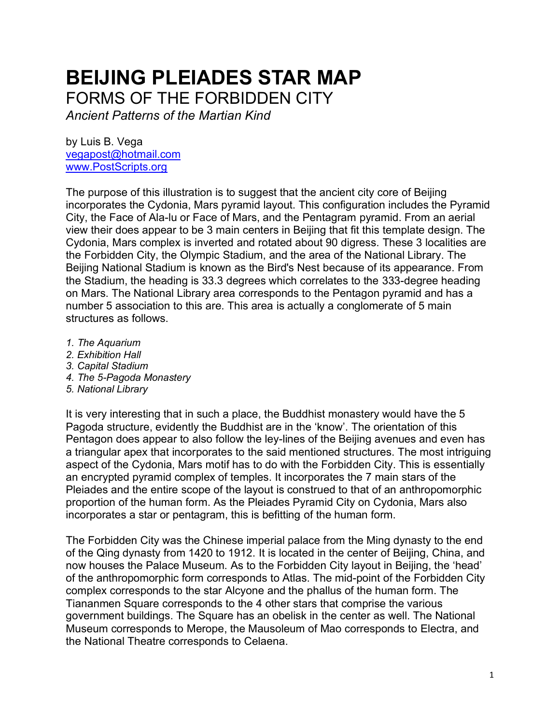## **BEIJING PLEIADES STAR MAP** FORMS OF THE FORBIDDEN CITY

*Ancient Patterns of the Martian Kind*

by Luis B. Vega [vegapost@hotmail.com](mailto:vegapost@hotmail.com) [www.PostScripts.org](http://www.postscripts.org/)

The purpose of this illustration is to suggest that the ancient city core of Beijing incorporates the Cydonia, Mars pyramid layout. This configuration includes the Pyramid City, the Face of Ala-lu or Face of Mars, and the Pentagram pyramid. From an aerial view their does appear to be 3 main centers in Beijing that fit this template design. The Cydonia, Mars complex is inverted and rotated about 90 digress. These 3 localities are the Forbidden City, the Olympic Stadium, and the area of the National Library. The Beijing National Stadium is known as the Bird's Nest because of its appearance. From the Stadium, the heading is 33.3 degrees which correlates to the 333-degree heading on Mars. The National Library area corresponds to the Pentagon pyramid and has a number 5 association to this are. This area is actually a conglomerate of 5 main structures as follows.

- *1. The Aquarium*
- *2. Exhibition Hall*
- *3. Capital Stadium*
- *4. The 5-Pagoda Monastery*
- *5. National Library*

It is very interesting that in such a place, the Buddhist monastery would have the 5 Pagoda structure, evidently the Buddhist are in the 'know'. The orientation of this Pentagon does appear to also follow the ley-lines of the Beijing avenues and even has a triangular apex that incorporates to the said mentioned structures. The most intriguing aspect of the Cydonia, Mars motif has to do with the Forbidden City. This is essentially an encrypted pyramid complex of temples. It incorporates the 7 main stars of the Pleiades and the entire scope of the layout is construed to that of an anthropomorphic proportion of the human form. As the Pleiades Pyramid City on Cydonia, Mars also incorporates a star or pentagram, this is befitting of the human form.

The Forbidden City was the Chinese imperial palace from the Ming dynasty to the end of the Qing dynasty from 1420 to 1912. It is located in the center of Beijing, China, and now houses the Palace Museum. As to the Forbidden City layout in Beijing, the 'head' of the anthropomorphic form corresponds to Atlas. The mid-point of the Forbidden City complex corresponds to the star Alcyone and the phallus of the human form. The Tiananmen Square corresponds to the 4 other stars that comprise the various government buildings. The Square has an obelisk in the center as well. The National Museum corresponds to Merope, the Mausoleum of Mao corresponds to Electra, and the National Theatre corresponds to Celaena.